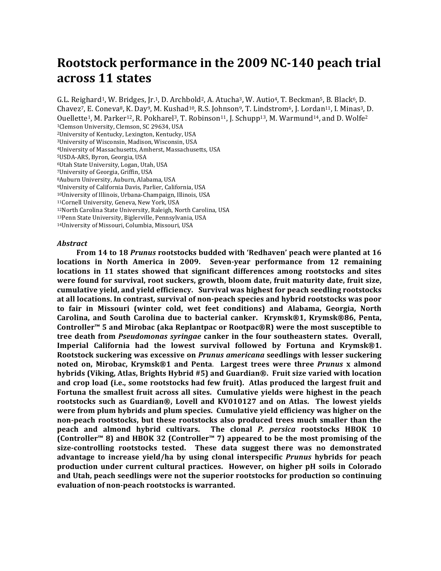# Rootstock performance in the 2009 NC-140 peach trial **across 11 states**

G.L. Reighard<sup>1</sup>, W. Bridges, Jr.<sup>1</sup>, D. Archbold<sup>2</sup>, A. Atucha<sup>3</sup>, W. Autio<sup>4</sup>, T. Beckman<sup>5</sup>, B. Black<sup>6</sup>, D. Chavez<sup>7</sup>, E. Coneva<sup>8</sup>, K. Day<sup>9</sup>, M. Kushad<sup>10</sup>, R.S. Johnson<sup>9</sup>, T. Lindstrom<sup>6</sup>, J. Lordan<sup>11</sup>, I. Minas<sup>3</sup>, D. Ouellette<sup>1</sup>, M. Parker<sup>12</sup>, R. Pokharel<sup>3</sup>, T. Robinson<sup>11</sup>, J. Schupp<sup>13</sup>, M. Warmund<sup>14</sup>, and D. Wolfe<sup>2</sup>

<sup>1</sup>Clemson University, Clemson, SC 29634, USA

<sup>2</sup>University of Kentucky, Lexington, Kentucky, USA

<sup>3</sup>University of Wisconsin, Madison, Wisconsin, USA

<sup>4</sup>University of Massachusetts, Amherst, Massachusetts, USA

5USDA-ARS, Byron, Georgia, USA

<sup>6</sup>Utah State University, Logan, Utah, USA

<sup>7</sup>University of Georgia, Griffin, USA

8Auburn University, Auburn, Alabama, USA

<sup>9</sup>University of California Davis, Parlier, California, USA

10University of Illinois, Urbana-Champaign, Illinois, USA

11Cornell University, Geneva, New York, USA

<sup>12</sup>North Carolina State University, Raleigh, North Carolina, USA

13Penn State University, Biglerville, Pennsylvania, USA

14University of Missouri, Columbia, Missouri, USA

#### *Abstract*

**From 14 to 18 Prunus rootstocks budded with 'Redhaven' peach were planted at 16 locations in North America in 2009. Seven-year performance from 12 remaining locations** in 11 states showed that significant differences among rootstocks and sites were found for survival, root suckers, growth, bloom date, fruit maturity date, fruit size, cumulative yield, and yield efficiency. Survival was highest for peach seedling rootstocks at all locations. In contrast, survival of non-peach species and hybrid rootstocks was poor to fair in Missouri (winter cold, wet feet conditions) and Alabama, Georgia, North **Carolina, and South Carolina due to bacterial canker. Krymsk®1, Krymsk®86, Penta, Controller™** 5 and Mirobac (aka Replantpac or Rootpac®R) were the most susceptible to **tree death from** *Pseudomonas syringae* **canker in the four southeastern states. Overall, Imperial California had the lowest survival followed by Fortuna and Krymsk®1.** Rootstock suckering was excessive on *Prunus americana* seedlings with lesser suckering **noted on, Mirobac, Krymsk®1 and Penta**. **Largest trees were three**  *Prunus* **x almond**  hybrids (Viking, Atlas, Brights Hybrid #5) and Guardian®. Fruit size varied with location and crop load (i.e., some rootstocks had few fruit). Atlas produced the largest fruit and Fortuna the smallest fruit across all sites. Cumulative yields were highest in the peach **rootstocks such as Guardian®, Lovell and KV010127 and on Atlas. The lowest yields were from plum hybrids and plum species. Cumulative yield efficiency was higher on the** non-peach rootstocks, but these rootstocks also produced trees much smaller than the **peach and almond hybrid cultivars.** The clonal *P. persica* rootstocks HBOK 10 **(Controller™** 8) and HBOK 32 (Controller™ 7) appeared to be the most promising of the size-controlling rootstocks tested. These data suggest there was no demonstrated advantage to increase yield/ha by using clonal interspecific *Prunus* hybrids for peach **production under current cultural practices. However, on higher pH soils in Colorado** and Utah, peach seedlings were not the superior rootstocks for production so continuing evaluation of non-peach rootstocks is warranted.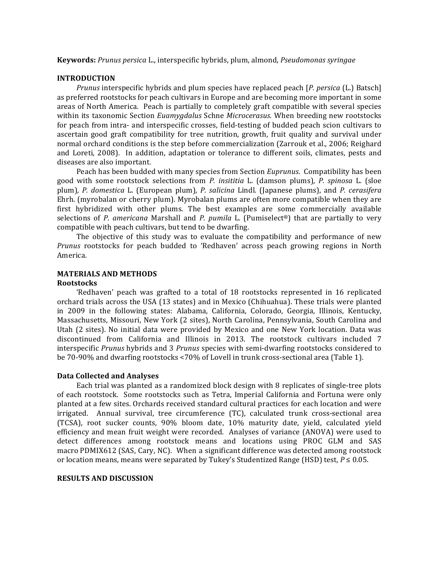**Keywords:** Prunus persica L., interspecific hybrids, plum, almond, Pseudomonas syringae

#### **INTRODUCTION**

*Prunus* interspecific hybrids and plum species have replaced peach [*P. persica* (L.) Batsch] as preferred rootstocks for peach cultivars in Europe and are becoming more important in some areas of North America. Peach is partially to completely graft compatible with several species within its taxonomic Section *Euamygdalus* Schne *Microcerasus*. When breeding new rootstocks for peach from intra- and interspecific crosses, field-testing of budded peach scion cultivars to ascertain good graft compatibility for tree nutrition, growth, fruit quality and survival under normal orchard conditions is the step before commercialization (Zarrouk et al., 2006; Reighard and Loreti, 2008). In addition, adaptation or tolerance to different soils, climates, pests and diseases are also important.

Peach has been budded with many species from Section *Euprunus*. Compatibility has been good with some rootstock selections from *P. insititia* L. (damson plums), *P. spinosa* L. (sloe plum), P. domestica L. (European plum), P. salicina Lindl. (Japanese plums), and P. cerasifera Ehrh. (myrobalan or cherry plum). Myrobalan plums are often more compatible when they are first hybridized with other plums. The best examples are some commercially available selections of *P. americana* Marshall and *P. pumila* L. (Pumiselect®) that are partially to very compatible with peach cultivars, but tend to be dwarfing.

The objective of this study was to evaluate the compatibility and performance of new *Prunus* rootstocks for peach budded to 'Redhaven' across peach growing regions in North America. 

## **MATERIALS AND METHODS**

#### **Rootstocks**

'Redhaven' peach was grafted to a total of 18 rootstocks represented in 16 replicated orchard trials across the USA (13 states) and in Mexico (Chihuahua). These trials were planted in 2009 in the following states: Alabama, California, Colorado, Georgia, Illinois, Kentucky, Massachusetts, Missouri, New York (2 sites), North Carolina, Pennsylvania, South Carolina and Utah (2 sites). No initial data were provided by Mexico and one New York location. Data was discontinued from California and Illinois in 2013. The rootstock cultivars included 7 interspecific *Prunus* hybrids and 3 *Prunus* species with semi-dwarfing rootstocks considered to be 70-90% and dwarfing rootstocks <70% of Lovell in trunk cross-sectional area (Table 1).

#### **Data Collected and Analyses**

Each trial was planted as a randomized block design with 8 replicates of single-tree plots of each rootstock. Some rootstocks such as Tetra, Imperial California and Fortuna were only planted at a few sites. Orchards received standard cultural practices for each location and were irrigated. Annual survival, tree circumference (TC), calculated trunk cross-sectional area (TCSA), root sucker counts, 90% bloom date, 10% maturity date, yield, calculated yield efficiency and mean fruit weight were recorded. Analyses of variance (ANOVA) were used to detect differences among rootstock means and locations using PROC GLM and SAS macro PDMIX612 (SAS, Cary, NC). When a significant difference was detected among rootstock or location means, means were separated by Tukey's Studentized Range (HSD) test,  $P \le 0.05$ .

#### **RESULTS AND DISCUSSION**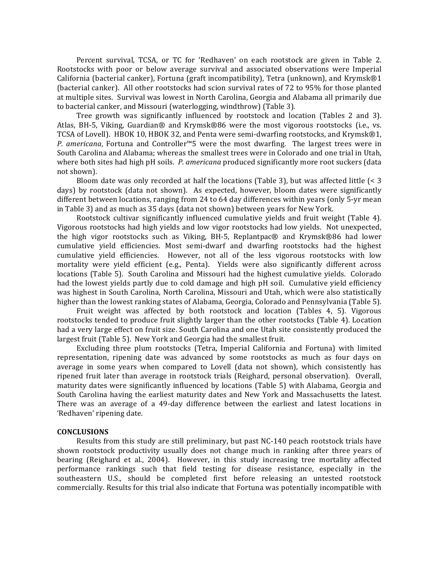Percent survival, TCSA, or TC for 'Redhaven' on each rootstock are given in Table 2. Rootstocks with poor or below average survival and associated observations were Imperial California (bacterial canker), Fortuna (graft incompatibility), Tetra (unknown), and Krymsk®1 (bacterial canker). All other rootstocks had scion survival rates of 72 to 95% for those planted at multiple sites. Survival was lowest in North Carolina, Georgia and Alabama all primarily due to bacterial canker, and Missouri (waterlogging, windthrow) (Table 3).

Tree growth was significantly influenced by rootstock and location (Tables 2 and 3). Atlas, BH-5, Viking, Guardian® and Krymsk®86 were the most vigorous rootstocks (i.e., vs. TCSA of Lovell). HBOK 10, HBOK 32, and Penta were semi-dwarfing rootstocks, and Krymsk®1, *P.* americana, Fortuna and Controller™5 were the most dwarfing. The largest trees were in South Carolina and Alabama; whereas the smallest trees were in Colorado and one trial in Utah, where both sites had high pH soils. P. americana produced significantly more root suckers (data not shown).

Bloom date was only recorded at half the locations (Table 3), but was affected little  $\leq 3$ days) by rootstock (data not shown). As expected, however, bloom dates were significantly different between locations, ranging from 24 to 64 day differences within years (only 5-yr mean in Table 3) and as much as 35 days (data not shown) between years for New York.

Rootstock cultivar significantly influenced cumulative yields and fruit weight (Table 4). Vigorous rootstocks had high yields and low vigor rootstocks had low yields. Not unexpected, the high vigor rootstocks such as Viking, BH-5, Replantpac $\circledR$  and Krymsk $\circledR$ 86 had lower cumulative yield efficiencies. Most semi-dwarf and dwarfing rootstocks had the highest cumulative yield efficiencies. However, not all of the less vigorous rootstocks with low mortality were yield efficient (e.g., Penta). Yields were also significantly different across locations (Table 5). South Carolina and Missouri had the highest cumulative yields. Colorado had the lowest vields partly due to cold damage and high pH soil. Cumulative vield efficiency was highest in South Carolina, North Carolina, Missouri and Utah, which were also statistically higher than the lowest ranking states of Alabama, Georgia, Colorado and Pennsylvania (Table 5).

Fruit weight was affected by both rootstock and location (Tables 4, 5). Vigorous rootstocks tended to produce fruit slightly larger than the other rootstocks (Table 4). Location had a very large effect on fruit size. South Carolina and one Utah site consistently produced the largest fruit (Table 5). New York and Georgia had the smallest fruit.

Excluding three plum rootstocks (Tetra, Imperial California and Fortuna) with limited representation, ripening date was advanced by some rootstocks as much as four days on average in some years when compared to Lovell (data not shown), which consistently has ripened fruit later than average in rootstock trials (Reighard, personal observation). Overall, maturity dates were significantly influenced by locations (Table 5) with Alabama, Georgia and South Carolina having the earliest maturity dates and New York and Massachusetts the latest. There was an average of a 49-day difference between the earliest and latest locations in 'Redhaven' ripening date.

#### **CONCLUSIONS**

Results from this study are still preliminary, but past NC-140 peach rootstock trials have shown rootstock productivity usually does not change much in ranking after three years of bearing (Reighard et al., 2004). However, in this study increasing tree mortality affected performance rankings such that field testing for disease resistance, especially in the southeastern U.S., should be completed first before releasing an untested rootstock commercially. Results for this trial also indicate that Fortuna was potentially incompatible with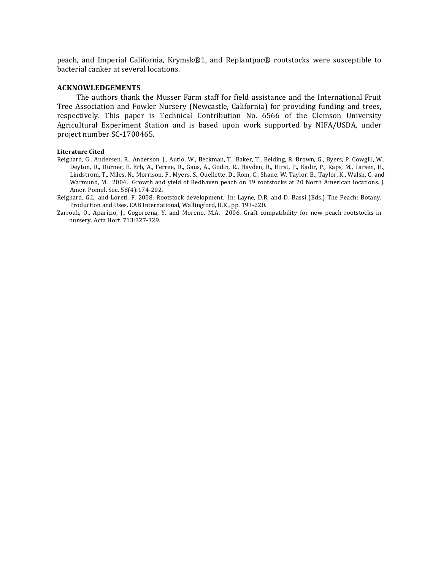peach, and Imperial California, Krymsk®1, and Replantpac® rootstocks were susceptible to bacterial canker at several locations.

### **ACKNOWLEDGEMENTS**

The authors thank the Musser Farm staff for field assistance and the International Fruit Tree Association and Fowler Nursery (Newcastle, California) for providing funding and trees, respectively. This paper is Technical Contribution No. 6566 of the Clemson University Agricultural Experiment Station and is based upon work supported by NIFA/USDA, under project number SC-1700465.

#### **Literature Cited**

- Reighard, G., Andersen, R., Anderson, J., Autio, W., Beckman, T., Baker, T., Belding, R. Brown, G., Byers, P. Cowgill, W., Deyton, D., Durner, E. Erb, A., Ferree, D., Gaus, A., Godin, R., Hayden, R., Hirst, P., Kadir, P., Kaps, M., Larsen, H., Lindstrom, T., Miles, N., Morrison, F., Myers, S., Ouellette, D., Rom, C., Shane, W. Taylor, B., Taylor, K., Walsh, C. and Warmund, M. 2004. Growth and yield of Redhaven peach on 19 rootstocks at 20 North American locations. J. Amer. Pomol. Soc. 58(4):174-202.
- Reighard, G.L. and Loreti, F. 2008. Rootstock development. In: Layne, D.R. and D. Bassi (Eds.) The Peach: Botany, Production and Uses. CAB International, Wallingford, U.K., pp. 193-220.

Zarrouk, O., Aparicio, J., Gogorcena, Y. and Moreno, M.A. 2006. Graft compatibility for new peach rootstocks in nursery. Acta Hort. 713:327-329.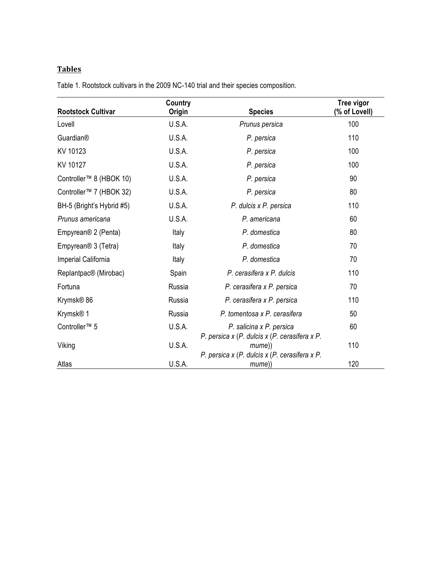# **Tables**

| <b>Rootstock Cultivar</b>           | Country<br>Origin | <b>Species</b>                                                                                           | Tree vigor<br>(% of Lovell) |
|-------------------------------------|-------------------|----------------------------------------------------------------------------------------------------------|-----------------------------|
| Lovell                              | U.S.A.            | Prunus persica                                                                                           | 100                         |
| Guardian®                           | U.S.A.            | P. persica                                                                                               | 110                         |
| KV 10123                            | U.S.A.            | P. persica                                                                                               | 100                         |
| KV 10127                            | U.S.A.            | P. persica                                                                                               | 100                         |
| Controller™ 8 (HBOK 10)             | U.S.A.            | P. persica                                                                                               | 90                          |
| Controller <sup>™</sup> 7 (HBOK 32) | U.S.A.            | P. persica                                                                                               | 80                          |
| BH-5 (Bright's Hybrid #5)           | U.S.A.            | P. dulcis x P. persica                                                                                   | 110                         |
| Prunus americana                    | U.S.A.            | P. americana                                                                                             | 60                          |
| Empyrean <sup>®</sup> 2 (Penta)     | Italy             | P. domestica                                                                                             | 80                          |
| Empyrean <sup>®</sup> 3 (Tetra)     | Italy             | P. domestica                                                                                             | 70                          |
| Imperial California                 | Italy             | P. domestica                                                                                             | 70                          |
| Replantpac® (Mirobac)               | Spain             | P. cerasifera x P. dulcis                                                                                | 110                         |
| Fortuna                             | Russia            | P. cerasifera x P. persica                                                                               | 70                          |
| Krymsk® 86                          | Russia            | P. cerasifera x P. persica                                                                               | 110                         |
| Krymsk® 1                           | Russia            | P. tomentosa x P. cerasifera                                                                             | 50                          |
| Controller <sup>™</sup> 5           | U.S.A.            | P. salicina x P. persica                                                                                 | 60                          |
| Viking                              | U.S.A.            | P. persica x (P. dulcis x (P. cerasifera x P.<br>mume))<br>P. persica x (P. dulcis x (P. cerasifera x P. | 110                         |
| Atlas                               | U.S.A.            | mume))                                                                                                   | 120                         |

Table 1. Rootstock cultivars in the 2009 NC-140 trial and their species composition.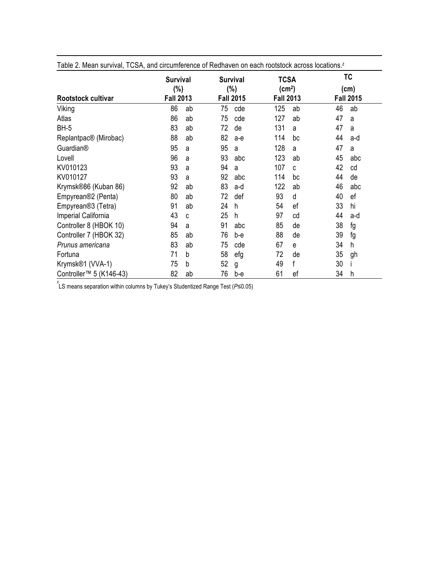| Table 2. Mean survival, TCSA, and circumference of Redhaven on each rootstock across locations. <sup>2</sup> |                                               |    |                                                |       |                                                       |    |                                |     |  |
|--------------------------------------------------------------------------------------------------------------|-----------------------------------------------|----|------------------------------------------------|-------|-------------------------------------------------------|----|--------------------------------|-----|--|
| Rootstock cultivar                                                                                           | <b>Survival</b><br>$(\%)$<br><b>Fall 2013</b> |    | <b>Survival</b><br>$(\% )$<br><b>Fall 2015</b> |       | <b>TCSA</b><br>(cm <sup>2</sup> )<br><b>Fall 2013</b> |    | TC<br>(cm)<br><b>Fall 2015</b> |     |  |
| Viking                                                                                                       | 86                                            | ab | 75                                             | cde   | 125                                                   | ab | 46                             | ab  |  |
| Atlas                                                                                                        | 86                                            | ab | 75                                             | cde   | 127                                                   | ab | 47                             | a   |  |
| <b>BH-5</b>                                                                                                  | 83                                            | ab | 72                                             | de    | 131                                                   | a  | 47                             | a   |  |
| Replantpac® (Mirobac)                                                                                        | 88                                            | ab | 82                                             | $a-e$ | 114                                                   | bc | 44                             | a-d |  |
| Guardian®                                                                                                    | 95                                            | a  | 95                                             | a     | 128                                                   | a  | 47                             | a   |  |
| Lovell                                                                                                       | 96                                            | a  | 93                                             | abc   | 123                                                   | ab | 45                             | abc |  |
| KV010123                                                                                                     | 93                                            | a  | 94                                             | a     | 107                                                   | C  | 42                             | cd  |  |
| KV010127                                                                                                     | 93                                            | a  | 92                                             | abc   | 114                                                   | bc | 44                             | de  |  |
| Krymsk®86 (Kuban 86)                                                                                         | 92                                            | ab | 83                                             | a-d   | 122                                                   | ab | 46                             | abc |  |
| Empyrean <sup>®2</sup> (Penta)                                                                               | 80                                            | ab | 72                                             | def   | 93                                                    | d  | 40                             | ef  |  |
| Empyrean <sup>®</sup> 3 (Tetra)                                                                              | 91                                            | ab | 24                                             | h     | 54                                                    | ef | 33                             | hi  |  |
| Imperial California                                                                                          | 43                                            | C  | 25                                             | h     | 97                                                    | cd | 44                             | a-d |  |
| Controller 8 (HBOK 10)                                                                                       | 94                                            | a  | 91                                             | abc   | 85                                                    | de | 38                             | fg  |  |
| Controller 7 (HBOK 32)                                                                                       | 85                                            | ab | 76                                             | b-е   | 88                                                    | de | 39                             | fg  |  |
| Prunus americana                                                                                             | 83                                            | ab | 75                                             | cde   | 67                                                    | e  | 34                             | h   |  |
| Fortuna                                                                                                      | 71                                            | b  | 58                                             | efg   | 72                                                    | de | 35                             | gh  |  |
| Krymsk®1 (VVA-1)                                                                                             | 75                                            | b  | 52                                             | g     | 49                                                    | f  | 30                             |     |  |
| Controller <sup>™</sup> 5 (K146-43)                                                                          | 82                                            | ab | 76                                             | b-e   | 61                                                    | ef | 34                             | h   |  |

z LS means separation within columns by Tukey's Studentized Range Test (*P*≤0.05)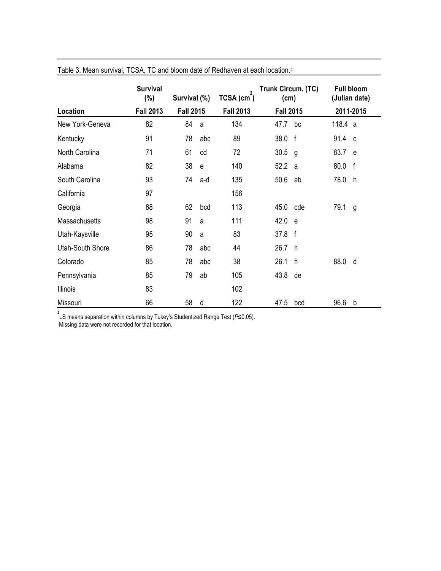|                      | <b>Survival</b><br>$(\%)$ | Survival (%)     |              | TCSA (cm <sup>-</sup> ) | Trunk Circum. (TC)<br>(cm) |              | <b>Full bloom</b><br>(Julian date) |           |  |
|----------------------|---------------------------|------------------|--------------|-------------------------|----------------------------|--------------|------------------------------------|-----------|--|
| Location             | <b>Fall 2013</b>          | <b>Fall 2015</b> |              | <b>Fall 2013</b>        | <b>Fall 2015</b>           |              |                                    | 2011-2015 |  |
| New York-Geneva      | 82                        | 84               | a            | 134                     | 47.7                       | bc           | 118.4 a                            |           |  |
| Kentucky             | 91                        | 78               | abc          | 89                      | 38.0                       | $\mathsf{f}$ | 91.4 c                             |           |  |
| North Carolina       | 71                        | 61               | cd           | 72                      | 30.5                       | g            | 83.7                               | e         |  |
| Alabama              | 82                        | 38               | $\mathbf{e}$ | 140                     | 52.2                       | a            | 80.0                               | f         |  |
| South Carolina       | 93                        | 74               | a-d          | 135                     | 50.6                       | ab           | 78.0                               | h.        |  |
| California           | 97                        |                  |              | 156                     |                            |              |                                    |           |  |
| Georgia              | 88                        | 62               | bcd          | 113                     | 45.0                       | cde          | 79.1                               | g         |  |
| <b>Massachusetts</b> | 98                        | 91               | a            | 111                     | 42.0                       | e e          |                                    |           |  |
| Utah-Kaysville       | 95                        | 90               | a            | 83                      | 37.8 f                     |              |                                    |           |  |
| Utah-South Shore     | 86                        | 78               | abc          | 44                      | 26.7                       | h            |                                    |           |  |
| Colorado             | 85                        | 78               | abc          | 38                      | 26.1                       | h            | 88.0                               | d         |  |
| Pennsylvania         | 85                        | 79               | ab           | 105                     | 43.8                       | de           |                                    |           |  |
| <b>Illinois</b>      | 83                        |                  |              | 102                     |                            |              |                                    |           |  |
| Missouri             | 66                        | 58               | d            | 122                     | 47.5                       | bcd          | 96.6                               | b         |  |

Table 3. Mean survival, TCSA, TC and bloom date of Redhaven at each location.<sup>z</sup>

z LS means separation within columns by Tukey's Studentized Range Test (*P*≤0.05).

Missing data were not recorded for that location.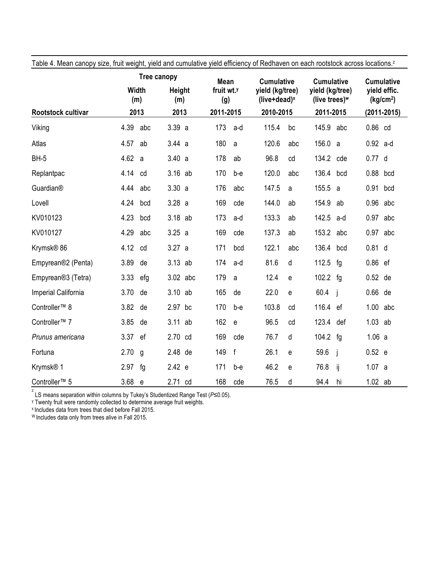|                                 |          | Tree canopy          |          |                      | <b>Mean</b>                   |              | <b>Cumulative</b>                  |     | <b>Cumulative</b>                   |     |            | <b>Cumulative</b>                     |  |
|---------------------------------|----------|----------------------|----------|----------------------|-------------------------------|--------------|------------------------------------|-----|-------------------------------------|-----|------------|---------------------------------------|--|
|                                 |          | Width<br>(m)<br>2013 |          | <b>Height</b><br>(m) | fruit wt. <sup>y</sup><br>(g) |              | yield (kg/tree)<br>(live+dead) $x$ |     | yield (kg/tree)<br>(live trees) $w$ |     |            | vield effic.<br>(kg/cm <sup>2</sup> ) |  |
| Rootstock cultivar              |          |                      |          | 2013                 |                               | 2011-2015    | 2010-2015                          |     | 2011-2015                           |     |            | (2011-2015)                           |  |
| Viking                          | 4.39     | abc                  | 3.39a    |                      | 173                           | a-d          | 115.4                              | bc  | 145.9                               | abc | 0.86 cd    |                                       |  |
| Atlas                           | 4.57     | ab                   | 3.44a    |                      | 180                           | a            | 120.6                              | abc | 156.0                               | a   | $0.92$ a-d |                                       |  |
| <b>BH-5</b>                     | 4.62 a   |                      | 3.40 a   |                      | 178                           | ab           | 96.8                               | cd  | 134.2                               | cde | 0.77 d     |                                       |  |
| Replantpac                      | 4.14     | cd                   | 3.16     | ab                   | 170                           | b-e          | 120.0                              | abc | 136.4                               | bcd | 0.88       | bcd                                   |  |
| Guardian®                       | 4.44     | abc                  | 3.30a    |                      | 176                           | abc          | 147.5                              | a   | 155.5                               | a   | 0.91 bcd   |                                       |  |
| Lovell                          | 4.24     | bcd                  | 3.28a    |                      | 169                           | cde          | 144.0                              | ab  | 154.9                               | ab  | $0.96$ abc |                                       |  |
| KV010123                        | 4.23     | bcd                  | 3.18 ab  |                      | 173                           | a-d          | 133.3                              | ab  | 142.5                               | a-d | 0.97 abc   |                                       |  |
| KV010127                        | 4.29     | abc                  | 3.25 a   |                      | 169                           | cde          | 137.3                              | ab  | 153.2                               | abc | $0.97$ abc |                                       |  |
| Krymsk <sup>®</sup> 86          | 4.12     | cd                   | 3.27 a   |                      | 171                           | bcd          | 122.1                              | abc | 136.4                               | bcd | $0.81$ d   |                                       |  |
| Empyrean®2 (Penta)              | 3.89     | de                   | 3.13 ab  |                      | 174                           | a-d          | 81.6                               | d   | 112.5                               | fg  | 0.86 ef    |                                       |  |
| Empyrean <sup>®</sup> 3 (Tetra) | 3.33     | efg                  | 3.02 abc |                      | 179                           | a            | 12.4                               | e   | 102.2                               | fg  | 0.52 de    |                                       |  |
| Imperial California             | 3.70     | de                   | 3.10     | ab                   | 165                           | de           | 22.0                               | e   | 60.4                                | j   | 0.66 de    |                                       |  |
| Controller <sup>™</sup> 8       | 3.82     | de                   | 2.97 bc  |                      | 170                           | b-e          | 103.8                              | cd  | 116.4                               | ef  | $1.00$ abc |                                       |  |
| Controller <sup>™</sup> 7       | 3.85     | de                   | 3.11     | ab                   | 162                           | $\mathbf e$  | 96.5                               | cd  | 123.4                               | def | $1.03$ ab  |                                       |  |
| Prunus americana                | 3.37     | ef                   | 2.70 cd  |                      | 169                           | cde          | 76.7                               | d   | 104.2                               | fg  | 1.06 a     |                                       |  |
| Fortuna                         | 2.70     | g                    | 2.48     | de                   | 149                           | $\mathsf{f}$ | 26.1                               | e   | 59.6                                | j   | 0.52 e     |                                       |  |
| Krymsk <sup>®</sup> 1           | 2.97     | fg                   | 2.42 e   |                      | 171                           | b-e          | 46.2                               | e   | 76.8                                | ij  | 1.07 a     |                                       |  |
| Controller <sup>™</sup> 5       | $3.68$ e |                      | 2.71 cd  |                      | 168                           | cde          | 76.5                               | d   | 94.4                                | hi  | $1.02$ ab  |                                       |  |

Table 4. Mean canopy size, fruit weight, yield and cumulative yield efficiency of Redhaven on each rootstock across locations.<sup>z</sup>

z LS means separation within columns by Tukey's Studentized Range Test (*P*≤0.05).

<sup>y</sup> Twenty fruit were randomly collected to determine average fruit weights.

x Includes data from trees that died before Fall 2015.

W Includes data only from trees alive in Fall 2015.